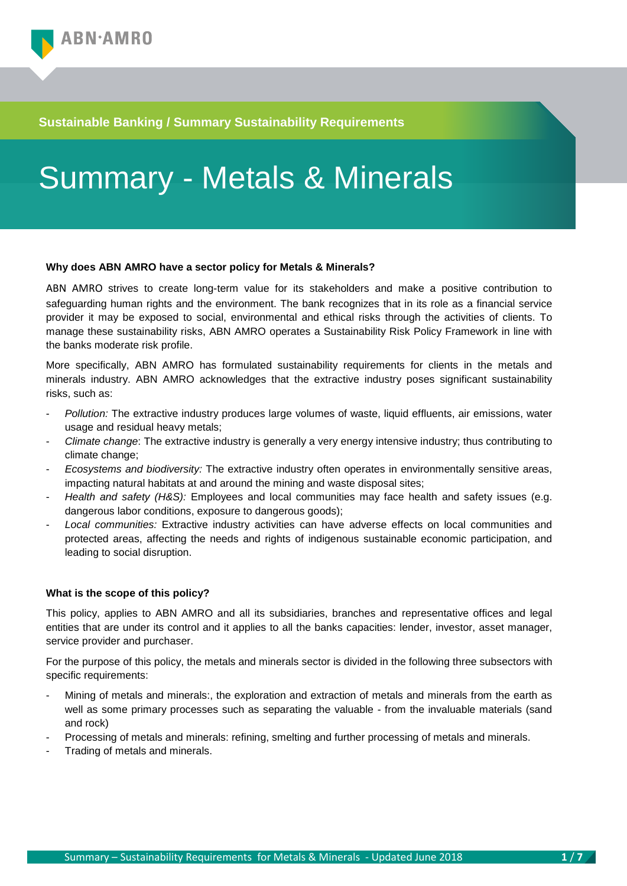### **Sustainable Banking / Summary Sustainability Requirements**

# Summary - Metals & Minerals

#### **Why does ABN AMRO have a sector policy for Metals & Minerals?**

ABN AMRO strives to create long-term value for its stakeholders and make a positive contribution to safeguarding human rights and the environment. The bank recognizes that in its role as a financial service provider it may be exposed to social, environmental and ethical risks through the activities of clients. To manage these sustainability risks, ABN AMRO operates a Sustainability Risk Policy Framework in line with the banks moderate risk profile.

More specifically, ABN AMRO has formulated sustainability requirements for clients in the metals and minerals industry. ABN AMRO acknowledges that the extractive industry poses significant sustainability risks, such as:

- *Pollution:* The extractive industry produces large volumes of waste, liquid effluents, air emissions, water usage and residual heavy metals;
- *Climate change*: The extractive industry is generally a very energy intensive industry; thus contributing to climate change;
- *Ecosystems and biodiversity:* The extractive industry often operates in environmentally sensitive areas, impacting natural habitats at and around the mining and waste disposal sites;
- Health and safety (H&S): Employees and local communities may face health and safety issues (e.g. dangerous labor conditions, exposure to dangerous goods);
- *Local communities:* Extractive industry activities can have adverse effects on local communities and protected areas, affecting the needs and rights of indigenous sustainable economic participation, and leading to social disruption.

#### **What is the scope of this policy?**

This policy, applies to ABN AMRO and all its subsidiaries, branches and representative offices and legal entities that are under its control and it applies to all the banks capacities: lender, investor, asset manager, service provider and purchaser.

For the purpose of this policy, the metals and minerals sector is divided in the following three subsectors with specific requirements:

- Mining of metals and minerals:, the exploration and extraction of metals and minerals from the earth as well as some primary processes such as separating the valuable - from the invaluable materials (sand and rock)
- Processing of metals and minerals: refining, smelting and further processing of metals and minerals.
- Trading of metals and minerals.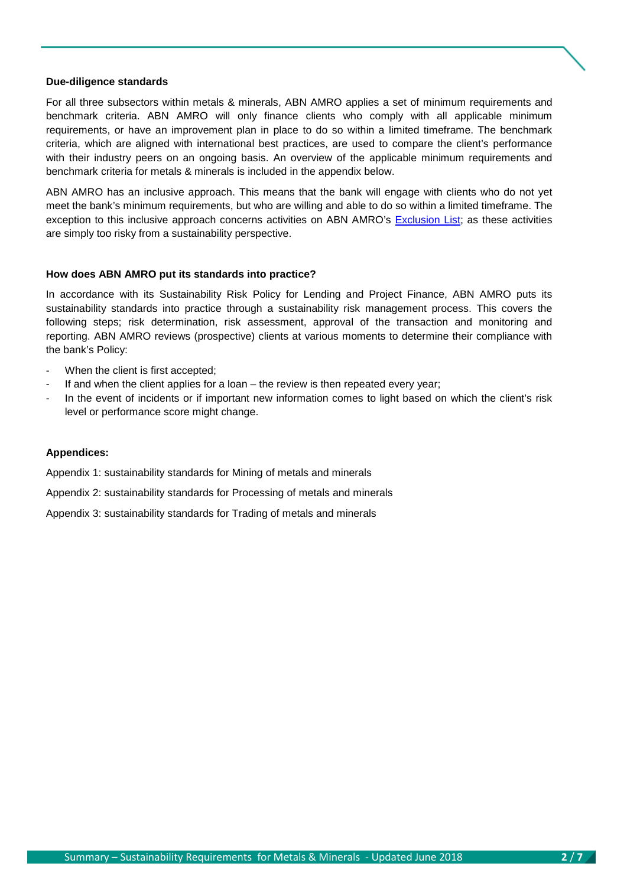#### **Due-diligence standards**

For all three subsectors within metals & minerals, ABN AMRO applies a set of minimum requirements and benchmark criteria. ABN AMRO will only finance clients who comply with all applicable minimum requirements, or have an improvement plan in place to do so within a limited timeframe. The benchmark criteria, which are aligned with international best practices, are used to compare the client's performance with their industry peers on an ongoing basis. An overview of the applicable minimum requirements and benchmark criteria for metals & minerals is included in the appendix below.

ABN AMRO has an inclusive approach. This means that the bank will engage with clients who do not yet meet the bank's minimum requirements, but who are willing and able to do so within a limited timeframe. The exception to this inclusive approach concerns activities on ABN AMRO's **Exclusion List**; as these activities are simply too risky from a sustainability perspective.

#### **How does ABN AMRO put its standards into practice?**

In accordance with its Sustainability Risk Policy for Lending and Project Finance, ABN AMRO puts its sustainability standards into practice through a sustainability risk management process. This covers the following steps; risk determination, risk assessment, approval of the transaction and monitoring and reporting. ABN AMRO reviews (prospective) clients at various moments to determine their compliance with the bank's Policy:

- When the client is first accepted;
- If and when the client applies for a loan  $-$  the review is then repeated every year;
- In the event of incidents or if important new information comes to light based on which the client's risk level or performance score might change.

#### **Appendices:**

Appendix 1: sustainability standards for Mining of metals and minerals

Appendix 2: sustainability standards for Processing of metals and minerals

Appendix 3: sustainability standards for Trading of metals and minerals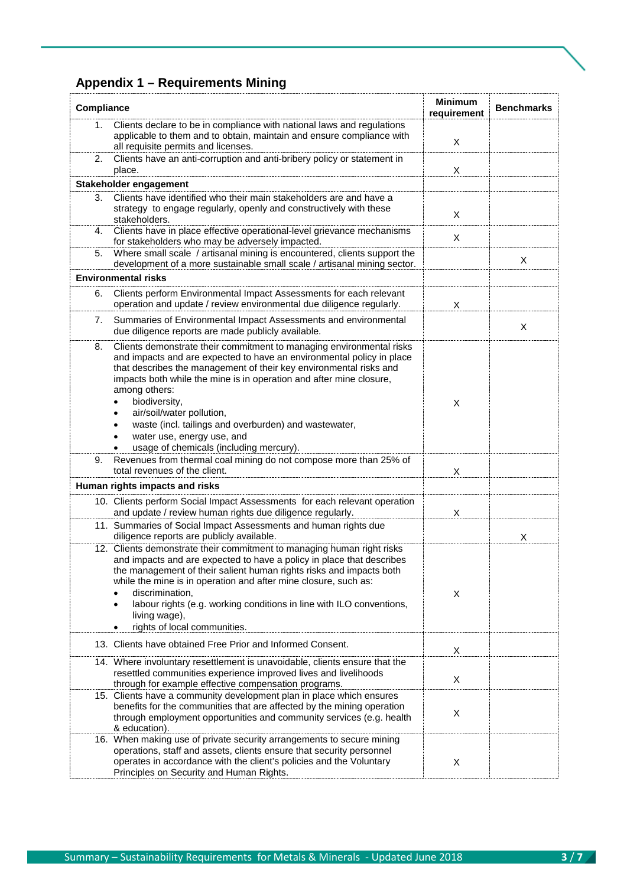## **Appendix 1 – Requirements Mining**

| Compliance |                                                                                                                                                                                                                                                                                                                                                                                                                                                                                             | <b>Minimum</b><br>requirement | <b>Benchmarks</b> |
|------------|---------------------------------------------------------------------------------------------------------------------------------------------------------------------------------------------------------------------------------------------------------------------------------------------------------------------------------------------------------------------------------------------------------------------------------------------------------------------------------------------|-------------------------------|-------------------|
| 1.         | Clients declare to be in compliance with national laws and regulations<br>applicable to them and to obtain, maintain and ensure compliance with<br>all requisite permits and licenses.                                                                                                                                                                                                                                                                                                      | X                             |                   |
| 2.         | Clients have an anti-corruption and anti-bribery policy or statement in<br>place.                                                                                                                                                                                                                                                                                                                                                                                                           | X                             |                   |
|            | Stakeholder engagement                                                                                                                                                                                                                                                                                                                                                                                                                                                                      |                               |                   |
| 3.         | Clients have identified who their main stakeholders are and have a<br>strategy to engage regularly, openly and constructively with these<br>stakeholders.                                                                                                                                                                                                                                                                                                                                   | X                             |                   |
| 4.         | Clients have in place effective operational-level grievance mechanisms<br>for stakeholders who may be adversely impacted.                                                                                                                                                                                                                                                                                                                                                                   | X                             |                   |
| 5.         | Where small scale / artisanal mining is encountered, clients support the<br>development of a more sustainable small scale / artisanal mining sector.                                                                                                                                                                                                                                                                                                                                        |                               | X                 |
|            | <b>Environmental risks</b>                                                                                                                                                                                                                                                                                                                                                                                                                                                                  |                               |                   |
| 6.         | Clients perform Environmental Impact Assessments for each relevant<br>operation and update / review environmental due diligence regularly.                                                                                                                                                                                                                                                                                                                                                  | X                             |                   |
| 7.         | Summaries of Environmental Impact Assessments and environmental<br>due diligence reports are made publicly available.                                                                                                                                                                                                                                                                                                                                                                       |                               | X                 |
| 8.         | Clients demonstrate their commitment to managing environmental risks<br>and impacts and are expected to have an environmental policy in place<br>that describes the management of their key environmental risks and<br>impacts both while the mine is in operation and after mine closure,<br>among others:<br>biodiversity,<br>air/soil/water pollution,<br>waste (incl. tailings and overburden) and wastewater,<br>water use, energy use, and<br>usage of chemicals (including mercury). | X                             |                   |
| 9.         | Revenues from thermal coal mining do not compose more than 25% of<br>total revenues of the client.                                                                                                                                                                                                                                                                                                                                                                                          | X                             |                   |
|            | Human rights impacts and risks                                                                                                                                                                                                                                                                                                                                                                                                                                                              |                               |                   |
|            | 10. Clients perform Social Impact Assessments for each relevant operation<br>and update / review human rights due diligence regularly.                                                                                                                                                                                                                                                                                                                                                      | X                             |                   |
|            | 11. Summaries of Social Impact Assessments and human rights due<br>diligence reports are publicly available.                                                                                                                                                                                                                                                                                                                                                                                |                               | X                 |
|            | 12. Clients demonstrate their commitment to managing human right risks<br>and impacts and are expected to have a policy in place that describes<br>the management of their salient human rights risks and impacts both<br>while the mine is in operation and after mine closure, such as:<br>discrimination,<br>labour rights (e.g. working conditions in line with ILO conventions,<br>living wage),<br>rights of local communities.                                                       | X                             |                   |
|            | 13. Clients have obtained Free Prior and Informed Consent.                                                                                                                                                                                                                                                                                                                                                                                                                                  | Χ                             |                   |
|            | 14. Where involuntary resettlement is unavoidable, clients ensure that the<br>resettled communities experience improved lives and livelihoods<br>through for example effective compensation programs.                                                                                                                                                                                                                                                                                       | X                             |                   |
|            | 15. Clients have a community development plan in place which ensures<br>benefits for the communities that are affected by the mining operation<br>through employment opportunities and community services (e.g. health<br>& education).                                                                                                                                                                                                                                                     | X                             |                   |
|            | 16. When making use of private security arrangements to secure mining<br>operations, staff and assets, clients ensure that security personnel<br>operates in accordance with the client's policies and the Voluntary<br>Principles on Security and Human Rights.                                                                                                                                                                                                                            | Χ                             |                   |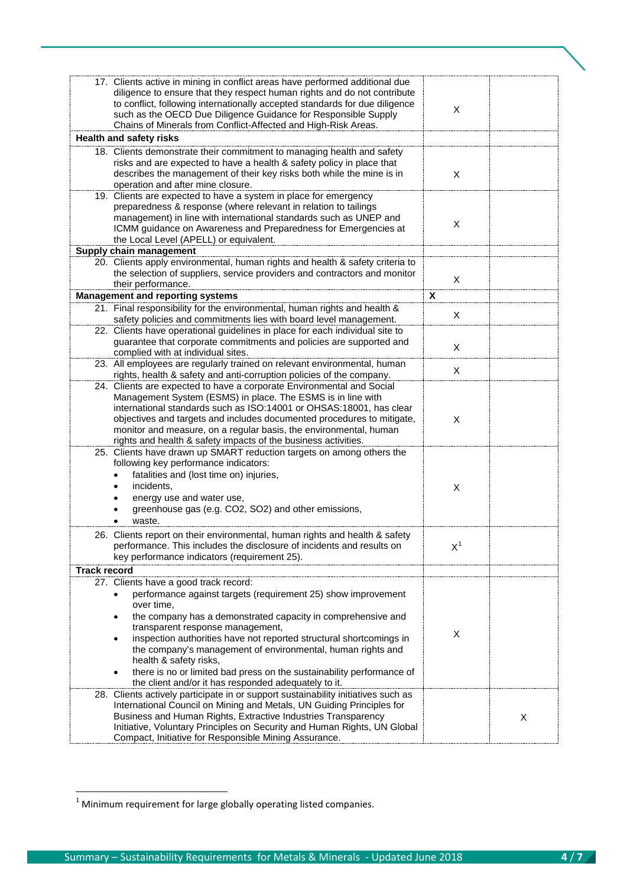|                     | 17. Clients active in mining in conflict areas have performed additional due<br>diligence to ensure that they respect human rights and do not contribute<br>to conflict, following internationally accepted standards for due diligence<br>such as the OECD Due Diligence Guidance for Responsible Supply<br>Chains of Minerals from Conflict-Affected and High-Risk Areas.                                                                                                                                                                              | X     |   |
|---------------------|----------------------------------------------------------------------------------------------------------------------------------------------------------------------------------------------------------------------------------------------------------------------------------------------------------------------------------------------------------------------------------------------------------------------------------------------------------------------------------------------------------------------------------------------------------|-------|---|
|                     | <b>Health and safety risks</b>                                                                                                                                                                                                                                                                                                                                                                                                                                                                                                                           |       |   |
|                     | 18. Clients demonstrate their commitment to managing health and safety<br>risks and are expected to have a health & safety policy in place that<br>describes the management of their key risks both while the mine is in<br>operation and after mine closure.                                                                                                                                                                                                                                                                                            | X     |   |
|                     | 19. Clients are expected to have a system in place for emergency<br>preparedness & response (where relevant in relation to tailings<br>management) in line with international standards such as UNEP and<br>ICMM guidance on Awareness and Preparedness for Emergencies at<br>the Local Level (APELL) or equivalent.                                                                                                                                                                                                                                     | X     |   |
|                     | Supply chain management<br>20. Clients apply environmental, human rights and health & safety criteria to<br>the selection of suppliers, service providers and contractors and monitor<br>their performance.                                                                                                                                                                                                                                                                                                                                              | X     |   |
|                     | <b>Management and reporting systems</b>                                                                                                                                                                                                                                                                                                                                                                                                                                                                                                                  | X.    |   |
|                     | 21. Final responsibility for the environmental, human rights and health &<br>safety policies and commitments lies with board level management.                                                                                                                                                                                                                                                                                                                                                                                                           | X     |   |
|                     | 22. Clients have operational guidelines in place for each individual site to<br>guarantee that corporate commitments and policies are supported and<br>complied with at individual sites.                                                                                                                                                                                                                                                                                                                                                                | X     |   |
|                     | 23. All employees are regularly trained on relevant environmental, human<br>rights, health & safety and anti-corruption policies of the company.                                                                                                                                                                                                                                                                                                                                                                                                         | X     |   |
|                     | 24. Clients are expected to have a corporate Environmental and Social<br>Management System (ESMS) in place. The ESMS is in line with<br>international standards such as ISO:14001 or OHSAS:18001, has clear<br>objectives and targets and includes documented procedures to mitigate,<br>monitor and measure, on a regular basis, the environmental, human<br>rights and health & safety impacts of the business activities.                                                                                                                             | X     |   |
|                     | 25. Clients have drawn up SMART reduction targets on among others the<br>following key performance indicators:<br>fatalities and (lost time on) injuries,<br>incidents,<br>energy use and water use,<br>greenhouse gas (e.g. CO2, SO2) and other emissions,<br>waste.                                                                                                                                                                                                                                                                                    | X     |   |
|                     | 26. Clients report on their environmental, human rights and health & safety<br>performance. This includes the disclosure of incidents and results on<br>key performance indicators (requirement 25).                                                                                                                                                                                                                                                                                                                                                     | $X^1$ |   |
| <b>Track record</b> |                                                                                                                                                                                                                                                                                                                                                                                                                                                                                                                                                          |       |   |
|                     | 27. Clients have a good track record:<br>performance against targets (requirement 25) show improvement<br>over time,<br>the company has a demonstrated capacity in comprehensive and<br>$\bullet$<br>transparent response management,<br>inspection authorities have not reported structural shortcomings in<br>٠<br>the company's management of environmental, human rights and<br>health & safety risks,<br>there is no or limited bad press on the sustainability performance of<br>$\bullet$<br>the client and/or it has responded adequately to it. | X     |   |
|                     | 28. Clients actively participate in or support sustainability initiatives such as<br>International Council on Mining and Metals, UN Guiding Principles for<br>Business and Human Rights, Extractive Industries Transparency<br>Initiative, Voluntary Principles on Security and Human Rights, UN Global<br>Compact, Initiative for Responsible Mining Assurance.                                                                                                                                                                                         |       | X |

<span id="page-3-0"></span> $1$  Minimum requirement for large globally operating listed companies.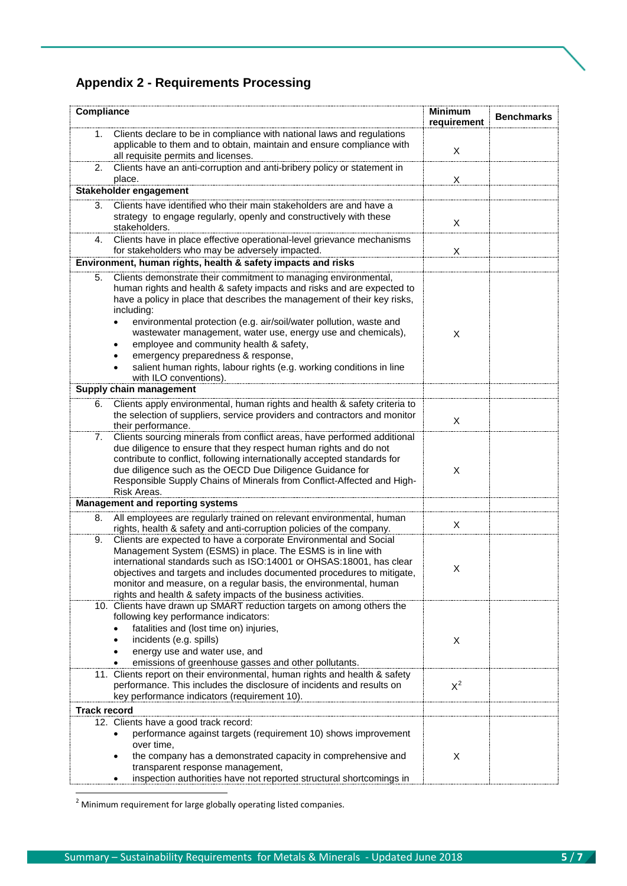## **Appendix 2 - Requirements Processing**

| Compliance          |                                                                                                                                                      | <b>Minimum</b><br>requirement | <b>Benchmarks</b> |
|---------------------|------------------------------------------------------------------------------------------------------------------------------------------------------|-------------------------------|-------------------|
| 1.                  | Clients declare to be in compliance with national laws and regulations                                                                               |                               |                   |
|                     | applicable to them and to obtain, maintain and ensure compliance with<br>all requisite permits and licenses.                                         | X                             |                   |
| 2.                  | Clients have an anti-corruption and anti-bribery policy or statement in<br>place.                                                                    | X                             |                   |
|                     | Stakeholder engagement                                                                                                                               |                               |                   |
| 3.                  | Clients have identified who their main stakeholders are and have a                                                                                   |                               |                   |
|                     | strategy to engage regularly, openly and constructively with these<br>stakeholders.                                                                  | X                             |                   |
| 4.                  | Clients have in place effective operational-level grievance mechanisms<br>for stakeholders who may be adversely impacted.                            | X                             |                   |
|                     | Environment, human rights, health & safety impacts and risks                                                                                         |                               |                   |
| 5.                  | Clients demonstrate their commitment to managing environmental,                                                                                      |                               |                   |
|                     | human rights and health & safety impacts and risks and are expected to                                                                               |                               |                   |
|                     | have a policy in place that describes the management of their key risks,                                                                             |                               |                   |
|                     | including:                                                                                                                                           |                               |                   |
|                     | environmental protection (e.g. air/soil/water pollution, waste and<br>$\bullet$                                                                      |                               |                   |
|                     | wastewater management, water use, energy use and chemicals),                                                                                         | X                             |                   |
|                     | employee and community health & safety,                                                                                                              |                               |                   |
|                     | emergency preparedness & response,<br>salient human rights, labour rights (e.g. working conditions in line                                           |                               |                   |
|                     | with ILO conventions).                                                                                                                               |                               |                   |
|                     | Supply chain management                                                                                                                              |                               |                   |
| 6.                  | Clients apply environmental, human rights and health & safety criteria to                                                                            |                               |                   |
|                     | the selection of suppliers, service providers and contractors and monitor                                                                            |                               |                   |
|                     | their performance.                                                                                                                                   | X                             |                   |
| 7.                  | Clients sourcing minerals from conflict areas, have performed additional                                                                             |                               |                   |
|                     | due diligence to ensure that they respect human rights and do not                                                                                    |                               |                   |
|                     | contribute to conflict, following internationally accepted standards for<br>due diligence such as the OECD Due Diligence Guidance for                | X                             |                   |
|                     | Responsible Supply Chains of Minerals from Conflict-Affected and High-                                                                               |                               |                   |
|                     | Risk Areas.                                                                                                                                          |                               |                   |
|                     | <b>Management and reporting systems</b>                                                                                                              |                               |                   |
| 8.                  | All employees are regularly trained on relevant environmental, human                                                                                 |                               |                   |
|                     | rights, health & safety and anti-corruption policies of the company.                                                                                 | Χ                             |                   |
| 9.                  | Clients are expected to have a corporate Environmental and Social                                                                                    |                               |                   |
|                     | Management System (ESMS) in place. The ESMS is in line with                                                                                          |                               |                   |
|                     | international standards such as ISO:14001 or OHSAS:18001, has clear<br>objectives and targets and includes documented procedures to mitigate         | Χ                             |                   |
|                     | monitor and measure, on a regular basis, the environmental, human                                                                                    |                               |                   |
|                     | rights and health & safety impacts of the business activities.                                                                                       |                               |                   |
|                     | 10. Clients have drawn up SMART reduction targets on among others the                                                                                |                               |                   |
|                     | following key performance indicators:                                                                                                                |                               |                   |
|                     | fatalities and (lost time on) injuries,                                                                                                              |                               |                   |
|                     | incidents (e.g. spills)                                                                                                                              | X                             |                   |
|                     | energy use and water use, and                                                                                                                        |                               |                   |
|                     | emissions of greenhouse gasses and other pollutants.                                                                                                 |                               |                   |
|                     | 11. Clients report on their environmental, human rights and health & safety<br>performance. This includes the disclosure of incidents and results on | $X^2$                         |                   |
|                     | key performance indicators (requirement 10).                                                                                                         |                               |                   |
| <b>Track record</b> |                                                                                                                                                      |                               |                   |
|                     | 12. Clients have a good track record:                                                                                                                |                               |                   |
|                     | performance against targets (requirement 10) shows improvement                                                                                       |                               |                   |
|                     | over time,                                                                                                                                           |                               |                   |
|                     | the company has a demonstrated capacity in comprehensive and                                                                                         | X                             |                   |
|                     | transparent response management,                                                                                                                     |                               |                   |
|                     | inspection authorities have not reported structural shortcomings in                                                                                  |                               |                   |

<span id="page-4-0"></span> $2$  Minimum requirement for large globally operating listed companies.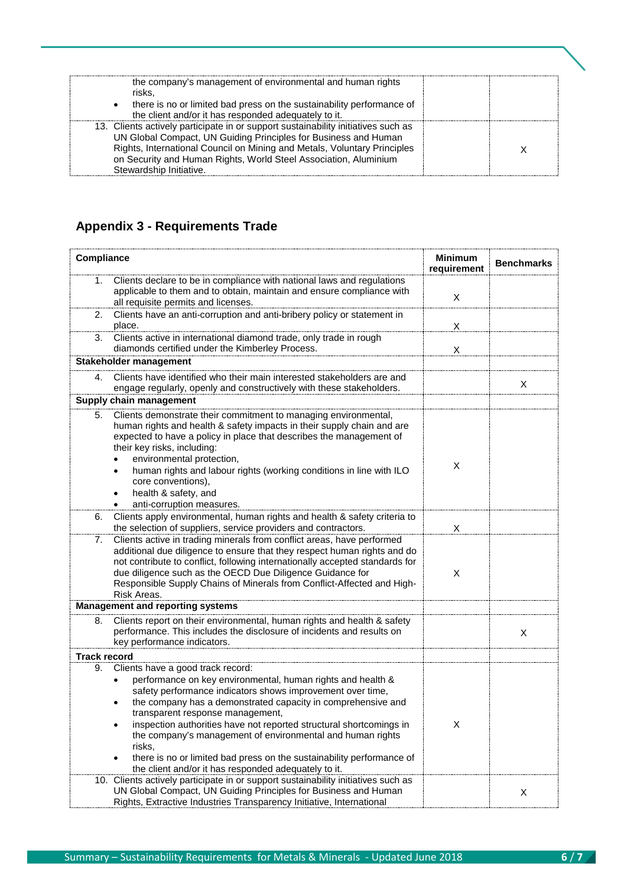| the company's management of environmental and human rights<br>risks.<br>• there is no or limited bad press on the sustainability performance of<br>the client and/or it has responded adequately to it.                                                                                                                         |  |
|---------------------------------------------------------------------------------------------------------------------------------------------------------------------------------------------------------------------------------------------------------------------------------------------------------------------------------|--|
| 13. Clients actively participate in or support sustainability initiatives such as<br>UN Global Compact, UN Guiding Principles for Business and Human<br>Rights, International Council on Mining and Metals, Voluntary Principles<br>on Security and Human Rights, World Steel Association, Aluminium<br>Stewardship Initiative. |  |

## **Appendix 3 - Requirements Trade**

| Compliance          | <b>Minimum</b><br><b>Benchmarks</b><br>requirement                                                                                                                                                                                                                                                                                                                                                                                                                                                                                                 |   |   |
|---------------------|----------------------------------------------------------------------------------------------------------------------------------------------------------------------------------------------------------------------------------------------------------------------------------------------------------------------------------------------------------------------------------------------------------------------------------------------------------------------------------------------------------------------------------------------------|---|---|
| 1.                  | Clients declare to be in compliance with national laws and regulations<br>applicable to them and to obtain, maintain and ensure compliance with<br>all requisite permits and licenses.                                                                                                                                                                                                                                                                                                                                                             | X |   |
| 2.                  | Clients have an anti-corruption and anti-bribery policy or statement in<br>place.                                                                                                                                                                                                                                                                                                                                                                                                                                                                  | X |   |
| 3.                  | Clients active in international diamond trade, only trade in rough<br>diamonds certified under the Kimberley Process.                                                                                                                                                                                                                                                                                                                                                                                                                              | X |   |
|                     | Stakeholder management                                                                                                                                                                                                                                                                                                                                                                                                                                                                                                                             |   |   |
| 4.                  | Clients have identified who their main interested stakeholders are and<br>engage regularly, openly and constructively with these stakeholders.                                                                                                                                                                                                                                                                                                                                                                                                     |   | X |
|                     | Supply chain management                                                                                                                                                                                                                                                                                                                                                                                                                                                                                                                            |   |   |
| 5.                  | Clients demonstrate their commitment to managing environmental,<br>human rights and health & safety impacts in their supply chain and are<br>expected to have a policy in place that describes the management of<br>their key risks, including:<br>environmental protection,<br>$\bullet$<br>human rights and labour rights (working conditions in line with ILO<br>$\bullet$<br>core conventions),<br>health & safety, and<br>anti-corruption measures.                                                                                           | X |   |
| 6.                  | Clients apply environmental, human rights and health & safety criteria to<br>the selection of suppliers, service providers and contractors.                                                                                                                                                                                                                                                                                                                                                                                                        | X |   |
| 7.                  | Clients active in trading minerals from conflict areas, have performed<br>additional due diligence to ensure that they respect human rights and do<br>not contribute to conflict, following internationally accepted standards for<br>due diligence such as the OECD Due Diligence Guidance for<br>Responsible Supply Chains of Minerals from Conflict-Affected and High-<br>Risk Areas.                                                                                                                                                           | X |   |
|                     | <b>Management and reporting systems</b>                                                                                                                                                                                                                                                                                                                                                                                                                                                                                                            |   |   |
| 8.                  | Clients report on their environmental, human rights and health & safety<br>performance. This includes the disclosure of incidents and results on<br>key performance indicators.                                                                                                                                                                                                                                                                                                                                                                    |   | X |
| <b>Track record</b> |                                                                                                                                                                                                                                                                                                                                                                                                                                                                                                                                                    |   |   |
| 9.                  | Clients have a good track record:<br>performance on key environmental, human rights and health &<br>safety performance indicators shows improvement over time,<br>the company has a demonstrated capacity in comprehensive and<br>transparent response management,<br>inspection authorities have not reported structural shortcomings in<br>the company's management of environmental and human rights<br>risks,<br>there is no or limited bad press on the sustainability performance of<br>the client and/or it has responded adequately to it. | X |   |
|                     | 10. Clients actively participate in or support sustainability initiatives such as<br>UN Global Compact, UN Guiding Principles for Business and Human<br>Rights, Extractive Industries Transparency Initiative, International                                                                                                                                                                                                                                                                                                                       |   | X |